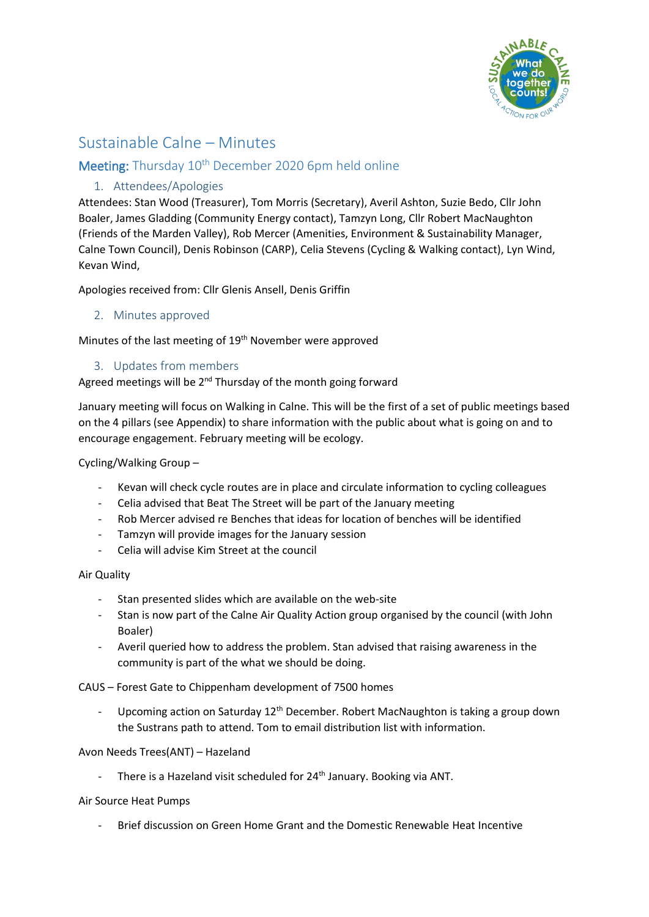

# Sustainable Calne – Minutes

# Meeting: Thursday 10<sup>th</sup> December 2020 6pm held online

# 1. Attendees/Apologies

Attendees: Stan Wood (Treasurer), Tom Morris (Secretary), Averil Ashton, Suzie Bedo, Cllr John Boaler, James Gladding (Community Energy contact), Tamzyn Long, Cllr Robert MacNaughton (Friends of the Marden Valley), Rob Mercer (Amenities, Environment & Sustainability Manager, Calne Town Council), Denis Robinson (CARP), Celia Stevens (Cycling & Walking contact), Lyn Wind, Kevan Wind,

Apologies received from: Cllr Glenis Ansell, Denis Griffin

## 2. Minutes approved

Minutes of the last meeting of 19<sup>th</sup> November were approved

# 3. Updates from members

Agreed meetings will be  $2^{nd}$  Thursday of the month going forward

January meeting will focus on Walking in Calne. This will be the first of a set of public meetings based on the 4 pillars (see Appendix) to share information with the public about what is going on and to encourage engagement. February meeting will be ecology.

Cycling/Walking Group –

- Kevan will check cycle routes are in place and circulate information to cycling colleagues
- Celia advised that Beat The Street will be part of the January meeting
- Rob Mercer advised re Benches that ideas for location of benches will be identified
- Tamzyn will provide images for the January session
- Celia will advise Kim Street at the council

#### Air Quality

- Stan presented slides which are available on the web-site
- Stan is now part of the Calne Air Quality Action group organised by the council (with John Boaler)
- Averil queried how to address the problem. Stan advised that raising awareness in the community is part of the what we should be doing.

CAUS – Forest Gate to Chippenham development of 7500 homes

- Upcoming action on Saturday  $12<sup>th</sup>$  December. Robert MacNaughton is taking a group down the Sustrans path to attend. Tom to email distribution list with information.

#### Avon Needs Trees(ANT) – Hazeland

There is a Hazeland visit scheduled for 24<sup>th</sup> January. Booking via ANT.

#### Air Source Heat Pumps

- Brief discussion on Green Home Grant and the Domestic Renewable Heat Incentive